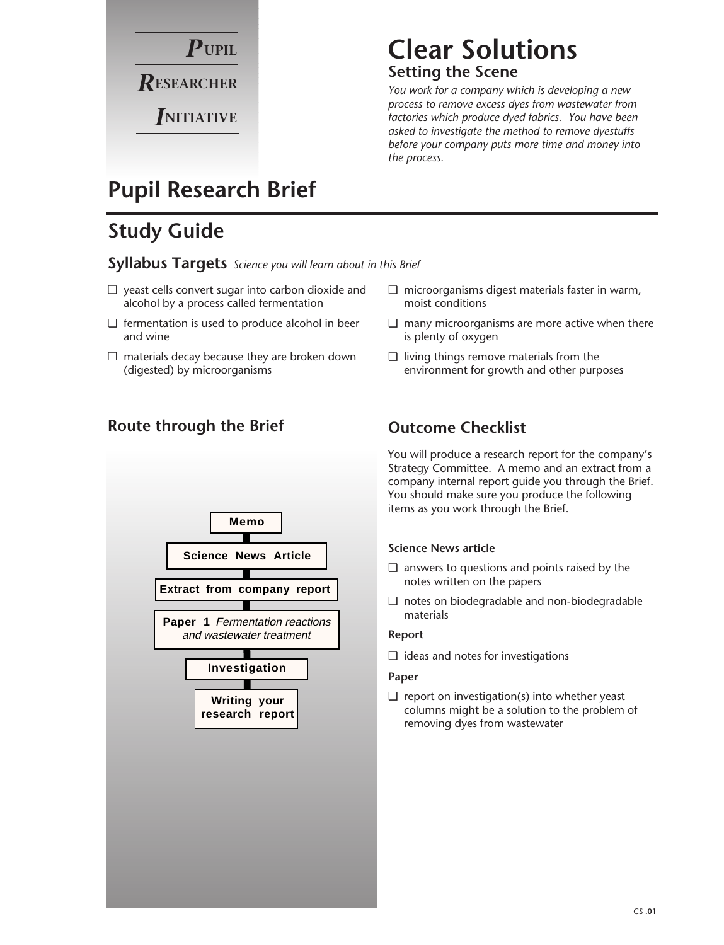

### **Clear Solutions Setting the Scene**

*You work for a company which is developing a new process to remove excess dyes from wastewater from factories which produce dyed fabrics. You have been asked to investigate the method to remove dyestuffs before your company puts more time and money into the process.*

## **Pupil Research Brief**

## **Study Guide**

**Syllabus Targets** *Science you will learn about in this Brief*

- ❏ yeast cells convert sugar into carbon dioxide and alcohol by a process called fermentation
- ❏ fermentation is used to produce alcohol in beer and wine
- $\square$  materials decay because they are broken down (digested) by microorganisms
- ❏ microorganisms digest materials faster in warm, moist conditions
- ❏ many microorganisms are more active when there is plenty of oxygen
- ❏ living things remove materials from the environment for growth and other purposes

### **Route through the Brief Outcome Checklist**



You will produce a research report for the company's Strategy Committee. A memo and an extract from a company internal report guide you through the Brief. You should make sure you produce the following items as you work through the Brief.

#### **Science News article**

- ❏ answers to questions and points raised by the notes written on the papers
- ❏ notes on biodegradable and non-biodegradable materials

#### **Report**

❏ ideas and notes for investigations

#### **Paper**

 $\Box$  report on investigation(s) into whether yeast columns might be a solution to the problem of removing dyes from wastewater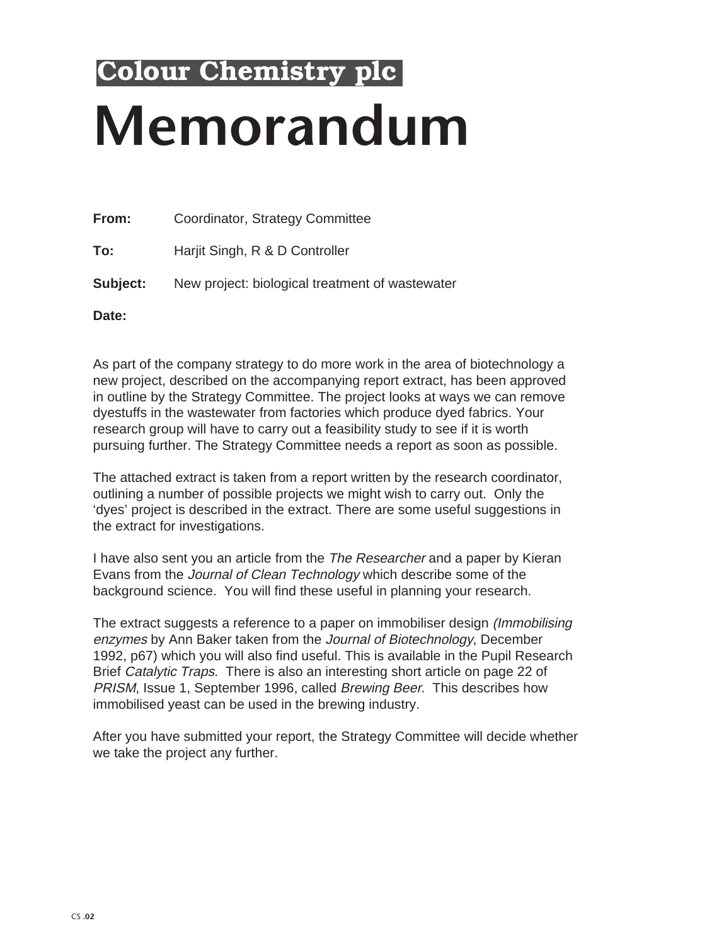# **Memorandum Colour Chemistry plc**

**From:** Coordinator, Strategy Committee **To:** Harjit Singh, R & D Controller **Subject:** New project: biological treatment of wastewater

**Date:**

As part of the company strategy to do more work in the area of biotechnology a new project, described on the accompanying report extract, has been approved in outline by the Strategy Committee. The project looks at ways we can remove dyestuffs in the wastewater from factories which produce dyed fabrics. Your research group will have to carry out a feasibility study to see if it is worth pursuing further. The Strategy Committee needs a report as soon as possible.

The attached extract is taken from a report written by the research coordinator, outlining a number of possible projects we might wish to carry out. Only the 'dyes' project is described in the extract. There are some useful suggestions in the extract for investigations.

I have also sent you an article from the The Researcher and a paper by Kieran Evans from the Journal of Clean Technology which describe some of the background science. You will find these useful in planning your research.

The extract suggests a reference to a paper on immobiliser design (Immobilising enzymes by Ann Baker taken from the Journal of Biotechnology, December 1992, p67) which you will also find useful. This is available in the Pupil Research Brief Catalytic Traps. There is also an interesting short article on page 22 of PRISM, Issue 1, September 1996, called Brewing Beer. This describes how immobilised yeast can be used in the brewing industry.

After you have submitted your report, the Strategy Committee will decide whether we take the project any further.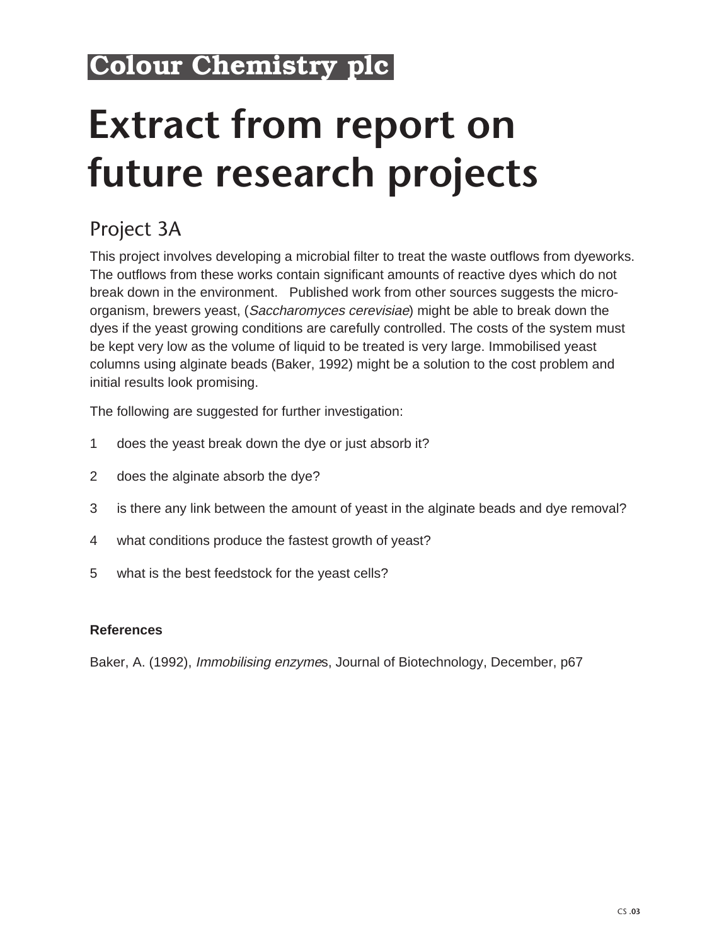## **Colour Chemistry plc**

# **Extract from report on future research projects**

## Project 3A

This project involves developing a microbial filter to treat the waste outflows from dyeworks. The outflows from these works contain significant amounts of reactive dyes which do not break down in the environment. Published work from other sources suggests the microorganism, brewers yeast, (Saccharomyces cerevisiae) might be able to break down the dyes if the yeast growing conditions are carefully controlled. The costs of the system must be kept very low as the volume of liquid to be treated is very large. Immobilised yeast columns using alginate beads (Baker, 1992) might be a solution to the cost problem and initial results look promising.

The following are suggested for further investigation:

- 1 does the yeast break down the dye or just absorb it?
- 2 does the alginate absorb the dye?
- 3 is there any link between the amount of yeast in the alginate beads and dye removal?
- 4 what conditions produce the fastest growth of yeast?
- 5 what is the best feedstock for the yeast cells?

#### **References**

Baker, A. (1992), Immobilising enzymes, Journal of Biotechnology, December, p67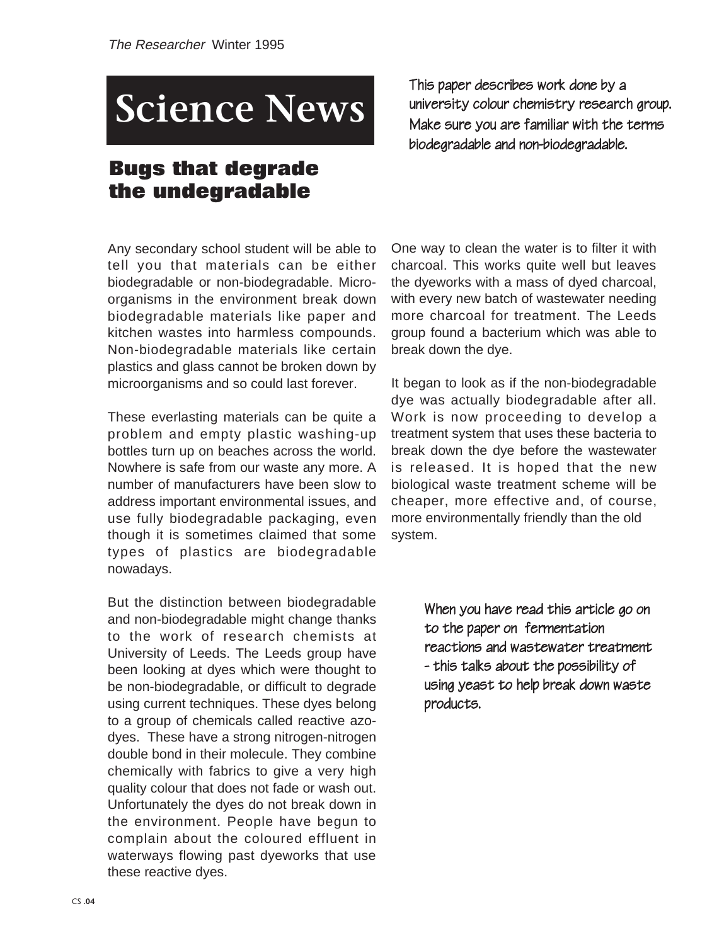## **Science News**

### **Bugs that degrade the undegradable**

Any secondary school student will be able to tell you that materials can be either biodegradable or non-biodegradable. Microorganisms in the environment break down biodegradable materials like paper and kitchen wastes into harmless compounds. Non-biodegradable materials like certain plastics and glass cannot be broken down by microorganisms and so could last forever.

These everlasting materials can be quite a problem and empty plastic washing-up bottles turn up on beaches across the world. Nowhere is safe from our waste any more. A number of manufacturers have been slow to address important environmental issues, and use fully biodegradable packaging, even though it is sometimes claimed that some types of plastics are biodegradable nowadays.

But the distinction between biodegradable and non-biodegradable might change thanks to the work of research chemists at University of Leeds. The Leeds group have been looking at dyes which were thought to be non-biodegradable, or difficult to degrade using current techniques. These dyes belong to a group of chemicals called reactive azodyes. These have a strong nitrogen-nitrogen double bond in their molecule. They combine chemically with fabrics to give a very high quality colour that does not fade or wash out. Unfortunately the dyes do not break down in the environment. People have begun to complain about the coloured effluent in waterways flowing past dyeworks that use these reactive dyes.

This paper describes work done by a university colour chemistry research group. Make sure you are familiar with the terms biodegradable and non-biodegradable.

One way to clean the water is to filter it with charcoal. This works quite well but leaves the dyeworks with a mass of dyed charcoal, with every new batch of wastewater needing more charcoal for treatment. The Leeds group found a bacterium which was able to break down the dye.

It began to look as if the non-biodegradable dye was actually biodegradable after all. Work is now proceeding to develop a treatment system that uses these bacteria to break down the dye before the wastewater is released. It is hoped that the new biological waste treatment scheme will be cheaper, more effective and, of course, more environmentally friendly than the old system.

> When you have read this article go on to the paper on fermentation reactions and wastewater treatment - this talks about the possibility of using yeast to help break down waste products.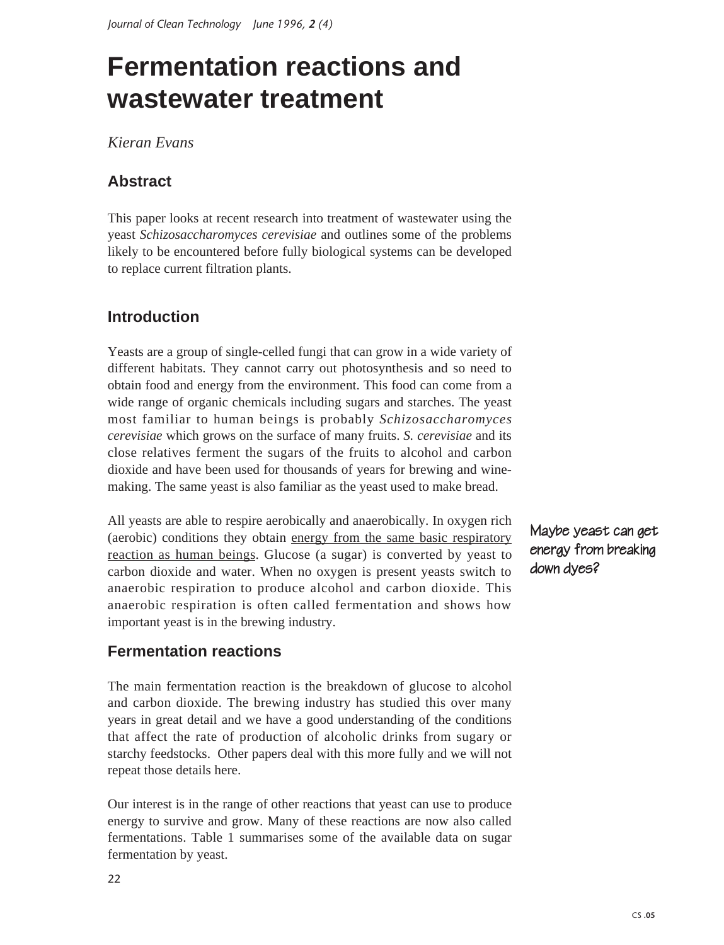## **Fermentation reactions and wastewater treatment**

*Kieran Evans*

#### **Abstract**

This paper looks at recent research into treatment of wastewater using the yeast *Schizosaccharomyces cerevisiae* and outlines some of the problems likely to be encountered before fully biological systems can be developed to replace current filtration plants.

#### **Introduction**

Yeasts are a group of single-celled fungi that can grow in a wide variety of different habitats. They cannot carry out photosynthesis and so need to obtain food and energy from the environment. This food can come from a wide range of organic chemicals including sugars and starches. The yeast most familiar to human beings is probably *Schizosaccharomyces cerevisiae* which grows on the surface of many fruits. *S. cerevisiae* and its close relatives ferment the sugars of the fruits to alcohol and carbon dioxide and have been used for thousands of years for brewing and winemaking. The same yeast is also familiar as the yeast used to make bread.

All yeasts are able to respire aerobically and anaerobically. In oxygen rich (aerobic) conditions they obtain energy from the same basic respiratory reaction as human beings. Glucose (a sugar) is converted by yeast to carbon dioxide and water. When no oxygen is present yeasts switch to anaerobic respiration to produce alcohol and carbon dioxide. This anaerobic respiration is often called fermentation and shows how important yeast is in the brewing industry.

#### **Fermentation reactions**

The main fermentation reaction is the breakdown of glucose to alcohol and carbon dioxide. The brewing industry has studied this over many years in great detail and we have a good understanding of the conditions that affect the rate of production of alcoholic drinks from sugary or starchy feedstocks. Other papers deal with this more fully and we will not repeat those details here.

Our interest is in the range of other reactions that yeast can use to produce energy to survive and grow. Many of these reactions are now also called fermentations. Table 1 summarises some of the available data on sugar fermentation by yeast.

Maybe yeast can get energy from breaking down dyes?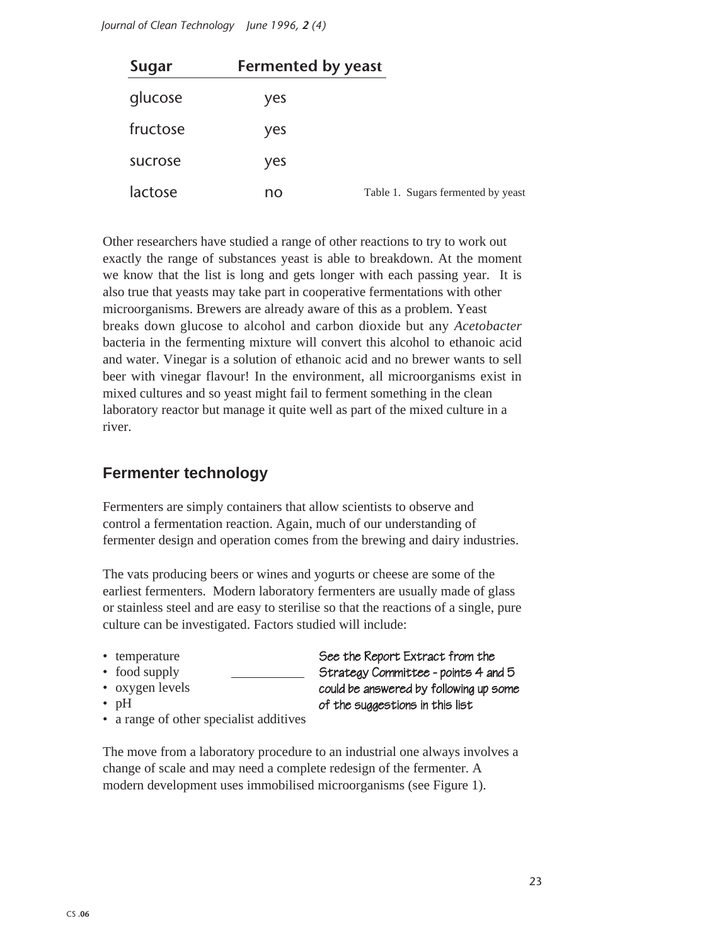*Journal of Clean Technology June 1996, 2 (4)*

| Sugar    | <b>Fermented by yeast</b> |                                    |
|----------|---------------------------|------------------------------------|
| glucose  | yes                       |                                    |
| fructose | yes                       |                                    |
| sucrose  | yes                       |                                    |
| lactose  | no                        | Table 1. Sugars fermented by yeast |

Other researchers have studied a range of other reactions to try to work out exactly the range of substances yeast is able to breakdown. At the moment we know that the list is long and gets longer with each passing year. It is also true that yeasts may take part in cooperative fermentations with other microorganisms. Brewers are already aware of this as a problem. Yeast breaks down glucose to alcohol and carbon dioxide but any *Acetobacter* bacteria in the fermenting mixture will convert this alcohol to ethanoic acid and water. Vinegar is a solution of ethanoic acid and no brewer wants to sell beer with vinegar flavour! In the environment, all microorganisms exist in mixed cultures and so yeast might fail to ferment something in the clean laboratory reactor but manage it quite well as part of the mixed culture in a river.

#### **Fermenter technology**

Fermenters are simply containers that allow scientists to observe and control a fermentation reaction. Again, much of our understanding of fermenter design and operation comes from the brewing and dairy industries.

The vats producing beers or wines and yogurts or cheese are some of the earliest fermenters. Modern laboratory fermenters are usually made of glass or stainless steel and are easy to sterilise so that the reactions of a single, pure culture can be investigated. Factors studied will include:

- temperature
- food supply
- oxygen levels
- pH

See the Report Extract from the Strategy Committee - points 4 and 5 could be answered by following up some of the suggestions in this list

• a range of other specialist additives

The move from a laboratory procedure to an industrial one always involves a change of scale and may need a complete redesign of the fermenter. A modern development uses immobilised microorganisms (see Figure 1).